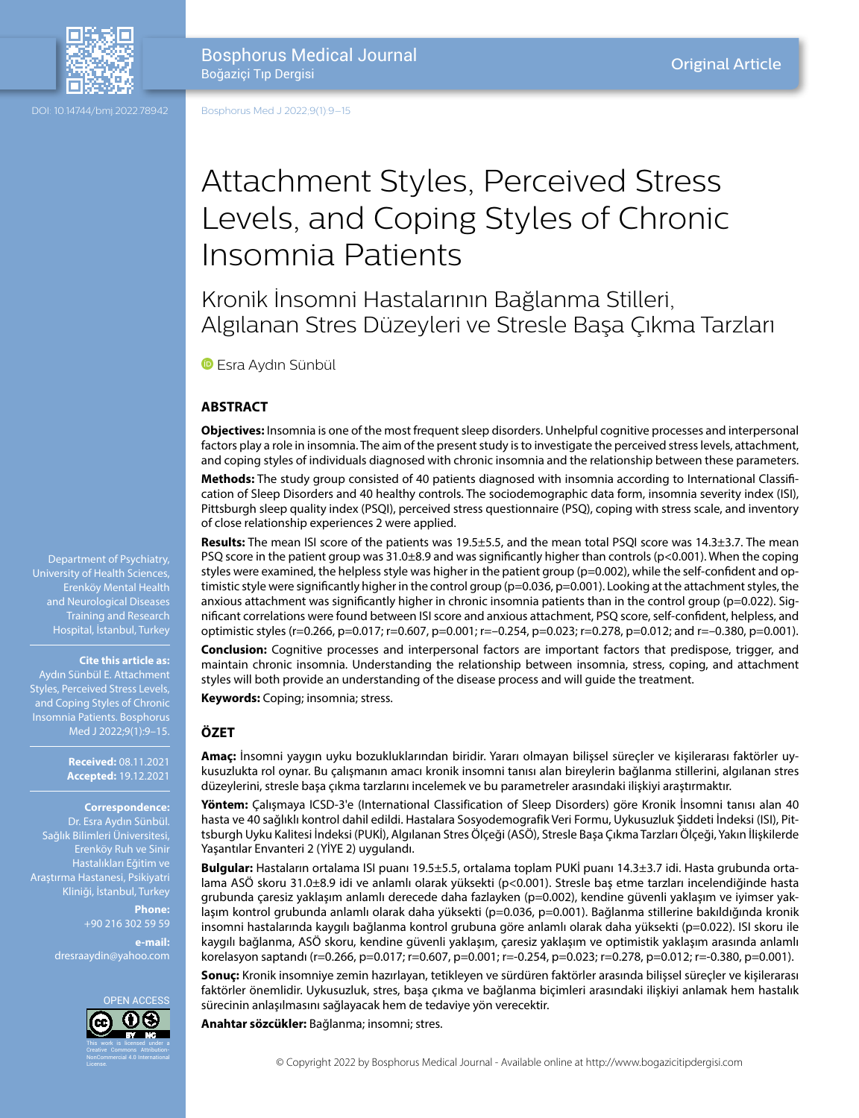

DOI: 10.14744/bmj.2022.78942

Bosphorus Med J 2022;9(1):9–15

# Attachment Styles, Perceived Stress Levels, and Coping Styles of Chronic Insomnia Patients

Kronik İnsomni Hastalarının Bağlanma Stilleri, Algılanan Stres Düzeyleri ve Stresle Başa Çıkma Tarzları

**B**Esra Aydın Sünbül

# **ABSTRACT**

**Objectives:** Insomnia is one of the most frequent sleep disorders. Unhelpful cognitive processes and interpersonal factors play a role in insomnia. The aim of the present study is to investigate the perceived stress levels, attachment, and coping styles of individuals diagnosed with chronic insomnia and the relationship between these parameters.

**Methods:** The study group consisted of 40 patients diagnosed with insomnia according to International Classification of Sleep Disorders and 40 healthy controls. The sociodemographic data form, insomnia severity index (ISI), Pittsburgh sleep quality index (PSQI), perceived stress questionnaire (PSQ), coping with stress scale, and inventory of close relationship experiences 2 were applied.

**Results:** The mean ISI score of the patients was 19.5±5.5, and the mean total PSQI score was 14.3±3.7. The mean PSQ score in the patient group was 31.0±8.9 and was significantly higher than controls (p<0.001). When the coping styles were examined, the helpless style was higher in the patient group (p=0.002), while the self-confident and optimistic style were significantly higher in the control group (p=0.036, p=0.001). Looking at the attachment styles, the anxious attachment was significantly higher in chronic insomnia patients than in the control group (p=0.022). Significant correlations were found between ISI score and anxious attachment, PSQ score, self-confident, helpless, and optimistic styles (r=0.266, p=0.017; r=0.607, p=0.001; r=–0.254, p=0.023; r=0.278, p=0.012; and r=–0.380, p=0.001). **Conclusion:** Cognitive processes and interpersonal factors are important factors that predispose, trigger, and

maintain chronic insomnia. Understanding the relationship between insomnia, stress, coping, and attachment styles will both provide an understanding of the disease process and will guide the treatment.

**Keywords:** Coping; insomnia; stress.

# **ÖZET**

**Amaç:** İnsomni yaygın uyku bozukluklarından biridir. Yararı olmayan bilişsel süreçler ve kişilerarası faktörler uykusuzlukta rol oynar. Bu çalışmanın amacı kronik insomni tanısı alan bireylerin bağlanma stillerini, algılanan stres düzeylerini, stresle başa çıkma tarzlarını incelemek ve bu parametreler arasındaki ilişkiyi araştırmaktır.

**Yöntem:** Çalışmaya ICSD-3'e (International Classification of Sleep Disorders) göre Kronik İnsomni tanısı alan 40 hasta ve 40 sağlıklı kontrol dahil edildi. Hastalara Sosyodemografik Veri Formu, Uykusuzluk Şiddeti İndeksi (ISI), Pittsburgh Uyku Kalitesi İndeksi (PUKİ), Algılanan Stres Ölçeği (ASÖ), Stresle Başa Çıkma Tarzları Ölçeği, Yakın İlişkilerde Yaşantılar Envanteri 2 (YİYE 2) uygulandı.

**Bulgular:** Hastaların ortalama ISI puanı 19.5±5.5, ortalama toplam PUKİ puanı 14.3±3.7 idi. Hasta grubunda ortalama ASÖ skoru 31.0±8.9 idi ve anlamlı olarak yüksekti (p<0.001). Stresle baş etme tarzları incelendiğinde hasta grubunda çaresiz yaklaşım anlamlı derecede daha fazlayken (p=0.002), kendine güvenli yaklaşım ve iyimser yaklaşım kontrol grubunda anlamlı olarak daha yüksekti (p=0.036, p=0.001). Bağlanma stillerine bakıldığında kronik insomni hastalarında kaygılı bağlanma kontrol grubuna göre anlamlı olarak daha yüksekti (p=0.022). ISI skoru ile kaygılı bağlanma, ASÖ skoru, kendine güvenli yaklaşım, çaresiz yaklaşım ve optimistik yaklaşım arasında anlamlı korelasyon saptandı (r=0.266, p=0.017; r=0.607, p=0.001; r=-0.254, p=0.023; r=0.278, p=0.012; r=-0.380, p=0.001).

**Sonuç:** Kronik insomniye zemin hazırlayan, tetikleyen ve sürdüren faktörler arasında bilişsel süreçler ve kişilerarası faktörler önemlidir. Uykusuzluk, stres, başa çıkma ve bağlanma biçimleri arasındaki ilişkiyi anlamak hem hastalık sürecinin anlaşılmasını sağlayacak hem de tedaviye yön verecektir.

**Anahtar sözcükler:** Bağlanma; insomni; stres.

© Copyright 2022 by Bosphorus Medical Journal - Available online at http://www.bogazicitipdergisi.com

University of Health Sciences, Erenköy Mental Health and Neurological Diseases Training and Research Hospital, İstanbul, Turkey

#### **Cite this article as:**

Aydın Sünbül E. Attachment Styles, Perceived Stress Levels, and Coping Styles of Chronic Insomnia Patients. Bosphorus Med J 2022;9(1):9–15.

> **Received:** 08.11.2021 **Accepted:** 19.12.2021

#### **Correspondence:**

Dr. Esra Aydın Sünbül. Sağlık Bilimleri Üniversitesi, Erenköy Ruh ve Sinir Hastalıkları Eğitim ve Araştırma Hastanesi, Psikiyatri Kliniği, İstanbul, Turkey

> **Phone:** +90 216 302 59 59 **e-mail:**

dresraaydin@yahoo.com

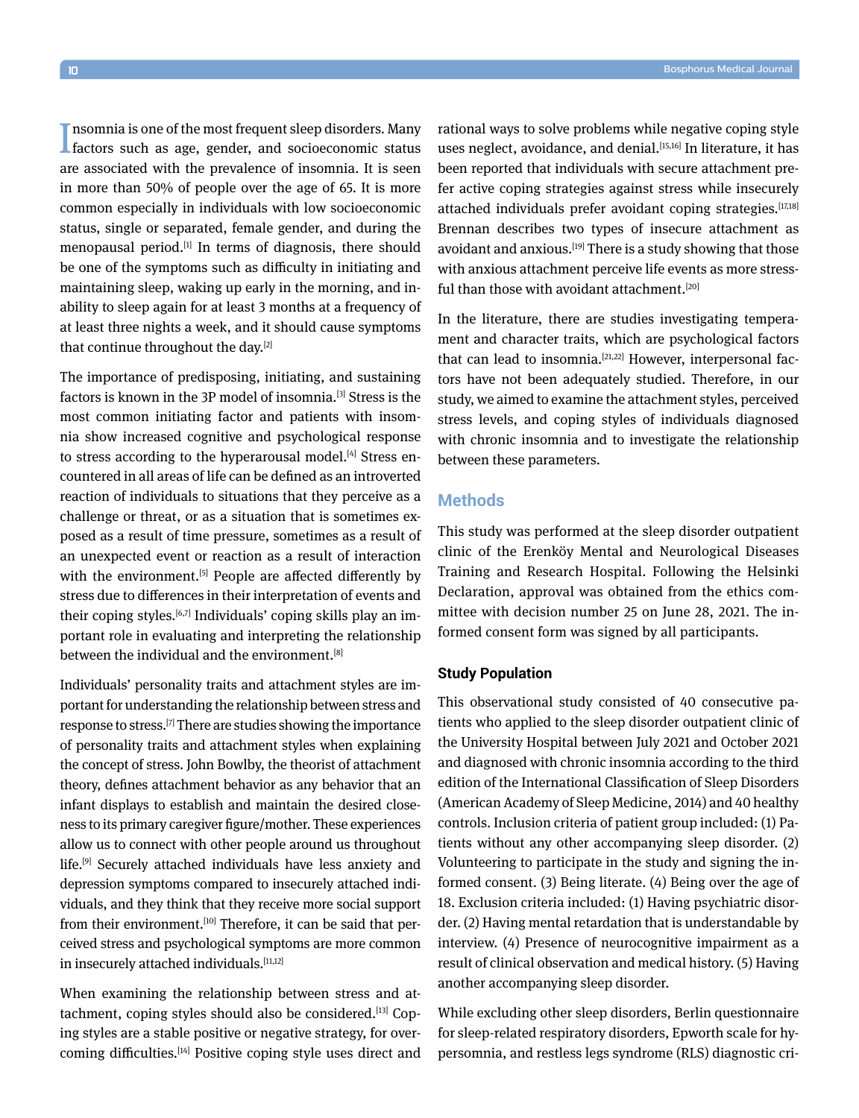Insomnia is one of the most frequent sleep disorders. Many factors such as age, gender, and socioeconomic status **n** is one of the most frequent sleep disorders. Many are associated with the prevalence of insomnia. It is seen in more than 50% of people over the age of 65. It is more common especially in individuals with low socioeconomic status, single or separated, female gender, and during the menopausal period.<sup>[1]</sup> In terms of diagnosis, there should be one of the symptoms such as difficulty in initiating and maintaining sleep, waking up early in the morning, and inability to sleep again for at least 3 months at a frequency of at least three nights a week, and it should cause symptoms that continue throughout the day.[2]

The importance of predisposing, initiating, and sustaining factors is known in the 3P model of insomnia.<sup>[3]</sup> Stress is the most common initiating factor and patients with insomnia show increased cognitive and psychological response to stress according to the hyperarousal model.<sup>[4]</sup> Stress encountered in all areas of life can be defined as an introverted reaction of individuals to situations that they perceive as a challenge or threat, or as a situation that is sometimes exposed as a result of time pressure, sometimes as a result of an unexpected event or reaction as a result of interaction with the environment.<sup>[5]</sup> People are affected differently by stress due to differences in their interpretation of events and their coping styles.[6,7] Individuals' coping skills play an important role in evaluating and interpreting the relationship between the individual and the environment.<sup>[8]</sup>

Individuals' personality traits and attachment styles are important for understanding the relationship between stress and response to stress.<sup>[7]</sup> There are studies showing the importance of personality traits and attachment styles when explaining the concept of stress. John Bowlby, the theorist of attachment theory, defines attachment behavior as any behavior that an infant displays to establish and maintain the desired closeness to its primary caregiver figure/mother. These experiences allow us to connect with other people around us throughout life.[9] Securely attached individuals have less anxiety and depression symptoms compared to insecurely attached individuals, and they think that they receive more social support from their environment.<sup>[10]</sup> Therefore, it can be said that perceived stress and psychological symptoms are more common in insecurely attached individuals.<sup>[11,12]</sup>

When examining the relationship between stress and attachment, coping styles should also be considered.<sup>[13]</sup> Coping styles are a stable positive or negative strategy, for overcoming difficulties.[14] Positive coping style uses direct and rational ways to solve problems while negative coping style uses neglect, avoidance, and denial.<sup>[15,16]</sup> In literature, it has been reported that individuals with secure attachment prefer active coping strategies against stress while insecurely attached individuals prefer avoidant coping strategies.[17,18] Brennan describes two types of insecure attachment as avoidant and anxious.<sup>[19]</sup> There is a study showing that those with anxious attachment perceive life events as more stressful than those with avoidant attachment.<sup>[20]</sup>

In the literature, there are studies investigating temperament and character traits, which are psychological factors that can lead to insomnia. $[21,22]$  However, interpersonal factors have not been adequately studied. Therefore, in our study, we aimed to examine the attachment styles, perceived stress levels, and coping styles of individuals diagnosed with chronic insomnia and to investigate the relationship between these parameters.

# **Methods**

This study was performed at the sleep disorder outpatient clinic of the Erenköy Mental and Neurological Diseases Training and Research Hospital. Following the Helsinki Declaration, approval was obtained from the ethics committee with decision number 25 on June 28, 2021. The informed consent form was signed by all participants.

# **Study Population**

This observational study consisted of 40 consecutive patients who applied to the sleep disorder outpatient clinic of the University Hospital between July 2021 and October 2021 and diagnosed with chronic insomnia according to the third edition of the International Classification of Sleep Disorders (American Academy of Sleep Medicine, 2014) and 40 healthy controls. Inclusion criteria of patient group included: (1) Patients without any other accompanying sleep disorder. (2) Volunteering to participate in the study and signing the informed consent. (3) Being literate. (4) Being over the age of 18. Exclusion criteria included: (1) Having psychiatric disorder. (2) Having mental retardation that is understandable by interview. (4) Presence of neurocognitive impairment as a result of clinical observation and medical history. (5) Having another accompanying sleep disorder.

While excluding other sleep disorders, Berlin questionnaire for sleep-related respiratory disorders, Epworth scale for hypersomnia, and restless legs syndrome (RLS) diagnostic cri-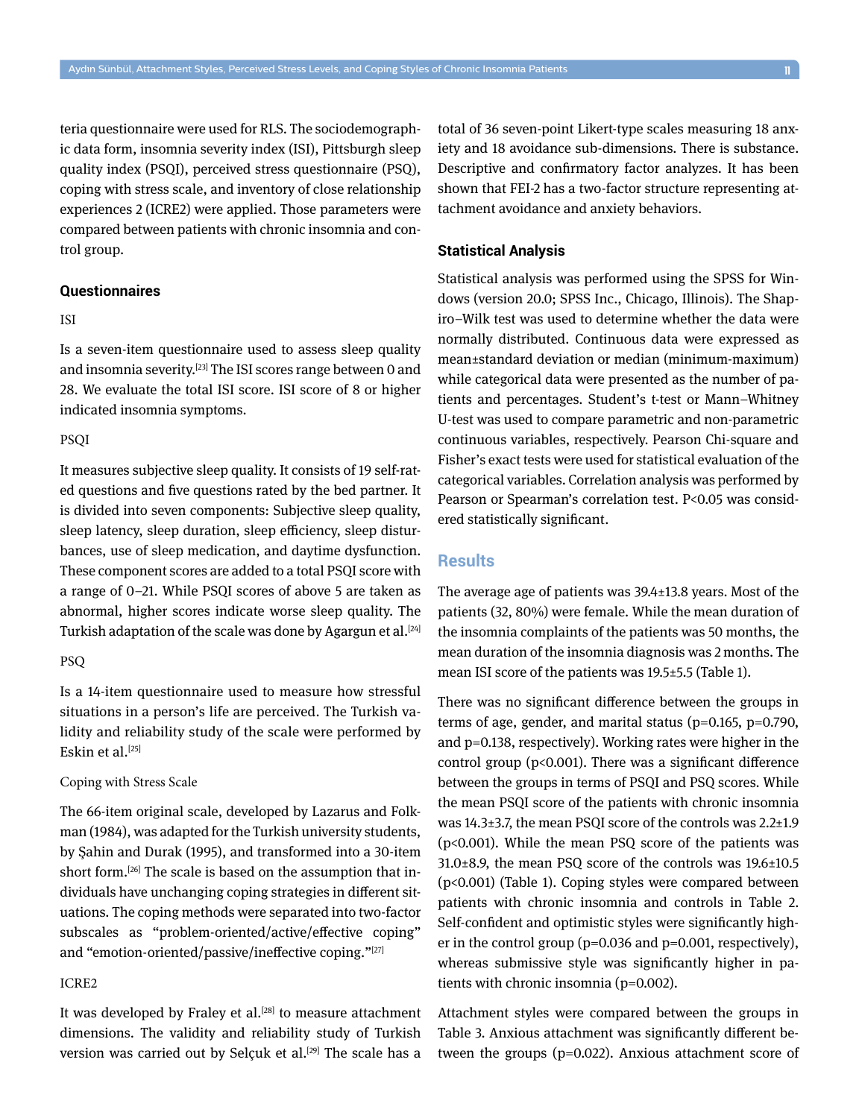teria questionnaire were used for RLS. The sociodemographic data form, insomnia severity index (ISI), Pittsburgh sleep quality index (PSQI), perceived stress questionnaire (PSQ), coping with stress scale, and inventory of close relationship experiences 2 (ICRE2) were applied. Those parameters were compared between patients with chronic insomnia and control group.

# **Questionnaires**

# ISI

Is a seven‐item questionnaire used to assess sleep quality and insomnia severity.[23] The ISI scores range between 0 and 28. We evaluate the total ISI score. ISI score of 8 or higher indicated insomnia symptoms.

# **PSOI**

It measures subjective sleep quality. It consists of 19 self-rated questions and five questions rated by the bed partner. It is divided into seven components: Subjective sleep quality, sleep latency, sleep duration, sleep efficiency, sleep disturbances, use of sleep medication, and daytime dysfunction. These component scores are added to a total PSQI score with a range of 0–21. While PSQI scores of above 5 are taken as abnormal, higher scores indicate worse sleep quality. The Turkish adaptation of the scale was done by Agargun et al.<sup>[24]</sup>

## PSQ

Is a 14-item questionnaire used to measure how stressful situations in a person's life are perceived. The Turkish validity and reliability study of the scale were performed by Eskin et al.<sup>[25]</sup>

### Coping with Stress Scale

The 66-item original scale, developed by Lazarus and Folkman (1984), was adapted for the Turkish university students, by Şahin and Durak (1995), and transformed into a 30-item short form.<sup>[26]</sup> The scale is based on the assumption that individuals have unchanging coping strategies in different situations. The coping methods were separated into two-factor subscales as "problem-oriented/active/effective coping" and "emotion-oriented/passive/ineffective coping."[27]

# ICRE2

It was developed by Fraley et al.<sup>[28]</sup> to measure attachment dimensions. The validity and reliability study of Turkish version was carried out by Selçuk et al.<sup>[29]</sup> The scale has a total of 36 seven-point Likert-type scales measuring 18 anxiety and 18 avoidance sub-dimensions. There is substance. Descriptive and confirmatory factor analyzes. It has been shown that FEI-2 has a two-factor structure representing attachment avoidance and anxiety behaviors.

## **Statistical Analysis**

Statistical analysis was performed using the SPSS for Windows (version 20.0; SPSS Inc., Chicago, Illinois). The Shapiro–Wilk test was used to determine whether the data were normally distributed. Continuous data were expressed as mean±standard deviation or median (minimum-maximum) while categorical data were presented as the number of patients and percentages. Student's t-test or Mann–Whitney U-test was used to compare parametric and non-parametric continuous variables, respectively. Pearson Chi-square and Fisher's exact tests were used for statistical evaluation of the categorical variables. Correlation analysis was performed by Pearson or Spearman's correlation test. P<0.05 was considered statistically significant.

# **Results**

The average age of patients was 39.4±13.8 years. Most of the patients (32, 80%) were female. While the mean duration of the insomnia complaints of the patients was 50 months, the mean duration of the insomnia diagnosis was 2 months. The mean ISI score of the patients was 19.5±5.5 (Table 1).

There was no significant difference between the groups in terms of age, gender, and marital status (p=0.165, p=0.790, and p=0.138, respectively). Working rates were higher in the control group ( $p<0.001$ ). There was a significant difference between the groups in terms of PSQI and PSQ scores. While the mean PSQI score of the patients with chronic insomnia was 14.3±3.7, the mean PSQI score of the controls was 2.2±1.9 (p<0.001). While the mean PSQ score of the patients was 31.0±8.9, the mean PSQ score of the controls was 19.6±10.5 (p<0.001) (Table 1). Coping styles were compared between patients with chronic insomnia and controls in Table 2. Self-confident and optimistic styles were significantly higher in the control group (p=0.036 and p=0.001, respectively), whereas submissive style was significantly higher in patients with chronic insomnia (p=0.002).

Attachment styles were compared between the groups in Table 3. Anxious attachment was significantly different between the groups (p=0.022). Anxious attachment score of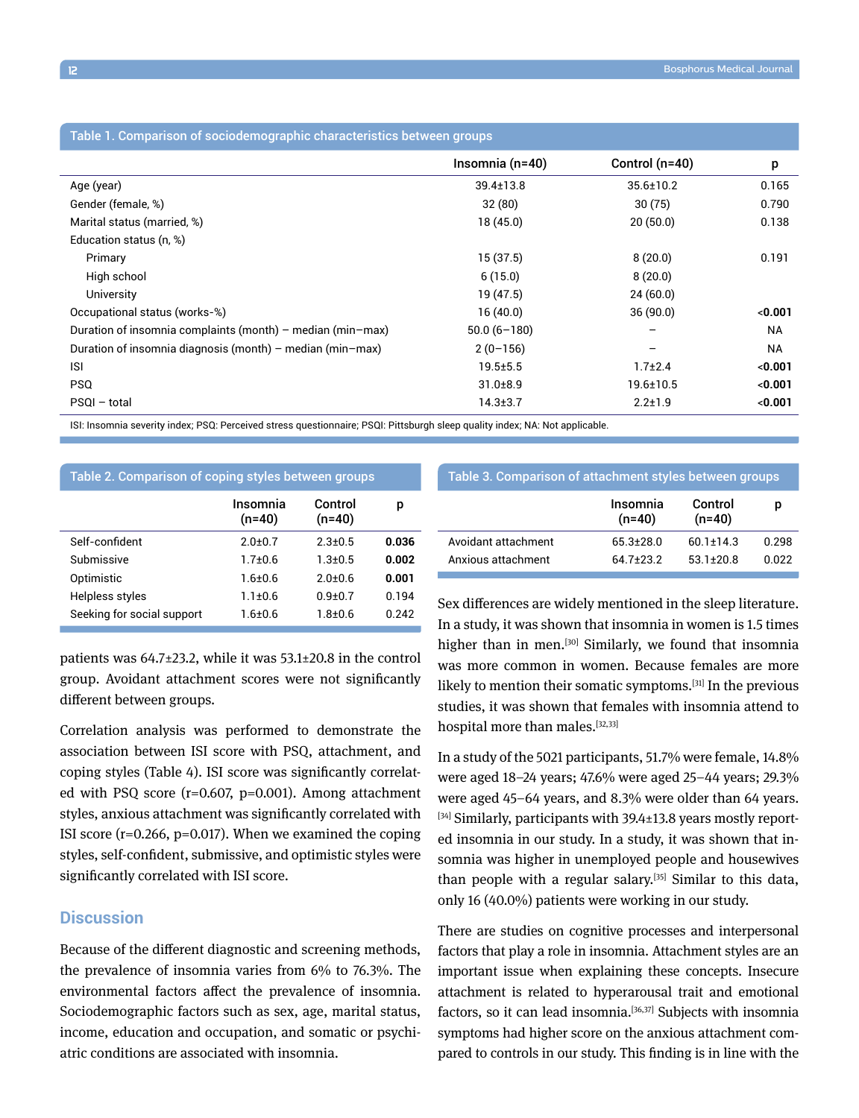| Table 1. Comparison of sociodemographic characteristics between groups |                 |                  |           |  |  |  |  |
|------------------------------------------------------------------------|-----------------|------------------|-----------|--|--|--|--|
|                                                                        | Insomnia (n=40) | Control $(n=40)$ | p         |  |  |  |  |
| Age (year)                                                             | $39.4 \pm 13.8$ | 35.6±10.2        | 0.165     |  |  |  |  |
| Gender (female, %)                                                     | 32(80)          | 30(75)           | 0.790     |  |  |  |  |
| Marital status (married, %)                                            | 18(45.0)        | 20(50.0)         | 0.138     |  |  |  |  |
| Education status (n, %)                                                |                 |                  |           |  |  |  |  |
| Primary                                                                | 15(37.5)        | 8(20.0)          | 0.191     |  |  |  |  |
| High school                                                            | 6(15.0)         | 8(20.0)          |           |  |  |  |  |
| University                                                             | 19 (47.5)       | 24(60.0)         |           |  |  |  |  |
| Occupational status (works-%)                                          | 16(40.0)        | 36(90.0)         | < 0.001   |  |  |  |  |
| Duration of insomnia complaints (month) – median (min–max)             | $50.0(6-180)$   |                  | <b>NA</b> |  |  |  |  |
| Duration of insomnia diagnosis (month) – median (min–max)              | $2(0-156)$      |                  | <b>NA</b> |  |  |  |  |
| <b>ISI</b>                                                             | $19.5 + 5.5$    | $1.7 + 2.4$      | < 0.001   |  |  |  |  |
| <b>PSQ</b>                                                             | $31.0 + 8.9$    | $19.6 \pm 10.5$  | < 0.001   |  |  |  |  |
| PSQI - total                                                           | $14.3 \pm 3.7$  | $2.2 \pm 1.9$    | < 0.001   |  |  |  |  |

ISI: Insomnia severity index; PSQ: Perceived stress questionnaire; PSQI: Pittsburgh sleep quality index; NA: Not applicable.

| Table 2. Comparison of coping styles between groups |                      |                     |         |  |  |
|-----------------------------------------------------|----------------------|---------------------|---------|--|--|
|                                                     | Insomnia<br>$(n=40)$ | Control<br>$(n=40)$ | р       |  |  |
| Self-confident                                      | 2 0+0 7              | $2.3 \pm 0.5$       | 0.036   |  |  |
| Submissive                                          | $1.7 + 0.6$          | $1.3 + 0.5$         | 0.002   |  |  |
| Optimistic                                          | 1 6+0 6              | $2.0 + 0.6$         | 0.001   |  |  |
| Helpless styles                                     | $1.1 + 0.6$          | $0.9 + 0.7$         | 0 1 9 4 |  |  |
| Seeking for social support                          | 1 6+0 6              | 1 ጸ+በ 6             | 0.242   |  |  |

patients was 64.7±23.2, while it was 53.1±20.8 in the control group. Avoidant attachment scores were not significantly different between groups.

Correlation analysis was performed to demonstrate the association between ISI score with PSQ, attachment, and coping styles (Table 4). ISI score was significantly correlated with PSQ score (r=0.607, p=0.001). Among attachment styles, anxious attachment was significantly correlated with ISI score  $(r=0.266, p=0.017)$ . When we examined the coping styles, self-confident, submissive, and optimistic styles were significantly correlated with ISI score.

# **Discussion**

Because of the different diagnostic and screening methods, the prevalence of insomnia varies from 6% to 76.3%. The environmental factors affect the prevalence of insomnia. Sociodemographic factors such as sex, age, marital status, income, education and occupation, and somatic or psychiatric conditions are associated with insomnia.

## Table 3. Comparison of attachment styles between groups

|                     | Insomnia<br>$(n=40)$ | Control<br>$(n=40)$ | D     |
|---------------------|----------------------|---------------------|-------|
| Avoidant attachment | $65.3 + 28.0$        | $601+143$           | በ 298 |
| Anxious attachment  | 64 7+23 2            | $531+208$           | በ በ22 |

Sex differences are widely mentioned in the sleep literature. In a study, it was shown that insomnia in women is 1.5 times higher than in men.<sup>[30]</sup> Similarly, we found that insomnia was more common in women. Because females are more likely to mention their somatic symptoms.[31] In the previous studies, it was shown that females with insomnia attend to hospital more than males.<sup>[32,33]</sup>

In a study of the 5021 participants, 51.7% were female, 14.8% were aged 18–24 years; 47.6% were aged 25–44 years; 29.3% were aged 45–64 years, and 8.3% were older than 64 years. [34] Similarly, participants with 39.4±13.8 years mostly reported insomnia in our study. In a study, it was shown that insomnia was higher in unemployed people and housewives than people with a regular salary.[35] Similar to this data, only 16 (40.0%) patients were working in our study.

There are studies on cognitive processes and interpersonal factors that play a role in insomnia. Attachment styles are an important issue when explaining these concepts. Insecure attachment is related to hyperarousal trait and emotional factors, so it can lead insomnia.<sup>[36,37]</sup> Subjects with insomnia symptoms had higher score on the anxious attachment compared to controls in our study. This finding is in line with the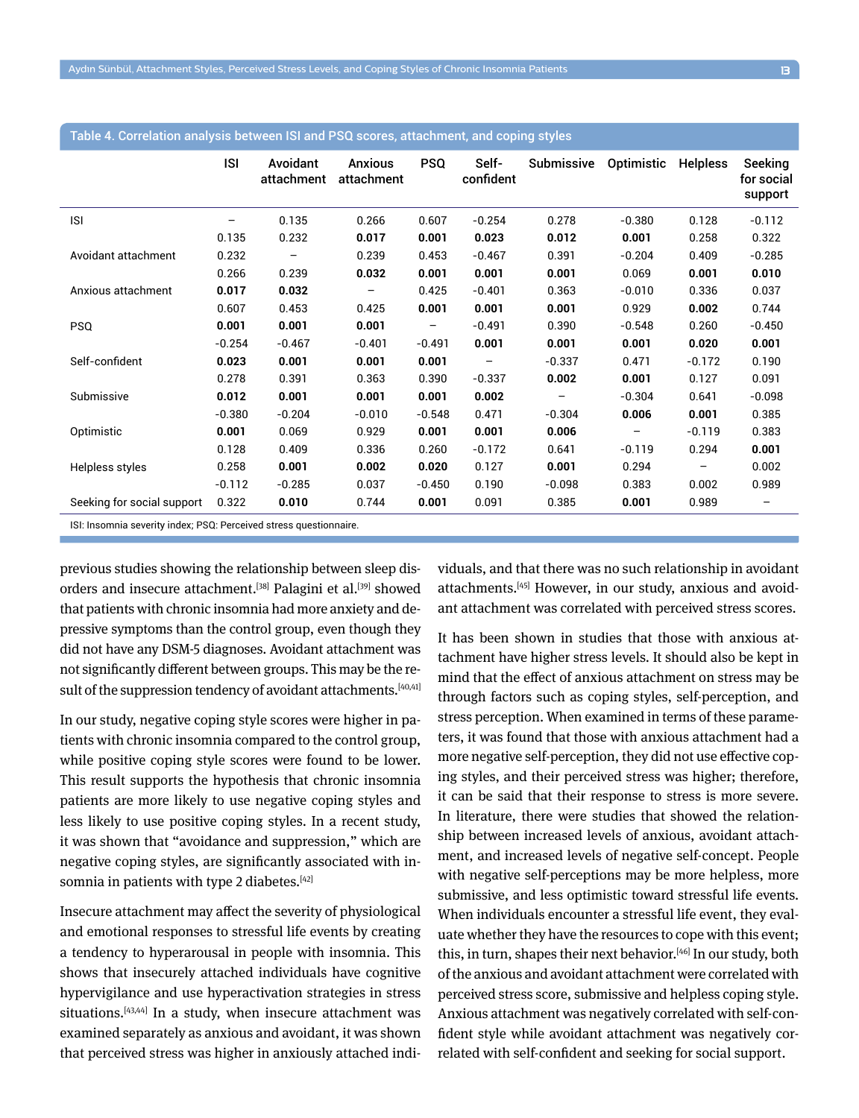|                            | <b>ISI</b> | Avoidant<br>attachment   | <b>Anxious</b><br>attachment | <b>PSQ</b>        | Self-<br>confident | <b>Submissive</b> | Optimistic | <b>Helpless</b> | Seeking<br>for social<br>support |
|----------------------------|------------|--------------------------|------------------------------|-------------------|--------------------|-------------------|------------|-----------------|----------------------------------|
| <b>ISI</b>                 |            | 0.135                    | 0.266                        | 0.607             | $-0.254$           | 0.278             | $-0.380$   | 0.128           | $-0.112$                         |
|                            | 0.135      | 0.232                    | 0.017                        | 0.001             | 0.023              | 0.012             | 0.001      | 0.258           | 0.322                            |
| Avoidant attachment        | 0.232      | $\overline{\phantom{m}}$ | 0.239                        | 0.453             | $-0.467$           | 0.391             | $-0.204$   | 0.409           | $-0.285$                         |
|                            | 0.266      | 0.239                    | 0.032                        | 0.001             | 0.001              | 0.001             | 0.069      | 0.001           | 0.010                            |
| Anxious attachment         | 0.017      | 0.032                    | $\qquad \qquad$              | 0.425             | $-0.401$           | 0.363             | $-0.010$   | 0.336           | 0.037                            |
|                            | 0.607      | 0.453                    | 0.425                        | 0.001             | 0.001              | 0.001             | 0.929      | 0.002           | 0.744                            |
| <b>PSQ</b>                 | 0.001      | 0.001                    | 0.001                        | $\qquad \qquad -$ | $-0.491$           | 0.390             | $-0.548$   | 0.260           | $-0.450$                         |
|                            | $-0.254$   | $-0.467$                 | $-0.401$                     | $-0.491$          | 0.001              | 0.001             | 0.001      | 0.020           | 0.001                            |
| Self-confident             | 0.023      | 0.001                    | 0.001                        | 0.001             |                    | $-0.337$          | 0.471      | $-0.172$        | 0.190                            |
|                            | 0.278      | 0.391                    | 0.363                        | 0.390             | $-0.337$           | 0.002             | 0.001      | 0.127           | 0.091                            |
| Submissive                 | 0.012      | 0.001                    | 0.001                        | 0.001             | 0.002              |                   | $-0.304$   | 0.641           | $-0.098$                         |
|                            | $-0.380$   | $-0.204$                 | $-0.010$                     | $-0.548$          | 0.471              | $-0.304$          | 0.006      | 0.001           | 0.385                            |
| Optimistic                 | 0.001      | 0.069                    | 0.929                        | 0.001             | 0.001              | 0.006             | -          | $-0.119$        | 0.383                            |
|                            | 0.128      | 0.409                    | 0.336                        | 0.260             | $-0.172$           | 0.641             | $-0.119$   | 0.294           | 0.001                            |
| Helpless styles            | 0.258      | 0.001                    | 0.002                        | 0.020             | 0.127              | 0.001             | 0.294      | —               | 0.002                            |
|                            | $-0.112$   | $-0.285$                 | 0.037                        | $-0.450$          | 0.190              | $-0.098$          | 0.383      | 0.002           | 0.989                            |
| Seeking for social support | 0.322      | 0.010                    | 0.744                        | 0.001             | 0.091              | 0.385             | 0.001      | 0.989           |                                  |

# Table 4. Correlation analysis between ISI and PSQ scores, attachment, and coping styles

ISI: Insomnia severity index; PSQ: Perceived stress questionnaire.

previous studies showing the relationship between sleep disorders and insecure attachment.<sup>[38]</sup> Palagini et al.<sup>[39]</sup> showed that patients with chronic insomnia had more anxiety and depressive symptoms than the control group, even though they did not have any DSM-5 diagnoses. Avoidant attachment was not significantly different between groups. This may be the result of the suppression tendency of avoidant attachments.<sup>[40,41]</sup>

In our study, negative coping style scores were higher in patients with chronic insomnia compared to the control group, while positive coping style scores were found to be lower. This result supports the hypothesis that chronic insomnia patients are more likely to use negative coping styles and less likely to use positive coping styles. In a recent study, it was shown that "avoidance and suppression," which are negative coping styles, are significantly associated with insomnia in patients with type 2 diabetes.<sup>[42]</sup>

Insecure attachment may affect the severity of physiological and emotional responses to stressful life events by creating a tendency to hyperarousal in people with insomnia. This shows that insecurely attached individuals have cognitive hypervigilance and use hyperactivation strategies in stress situations.<sup>[43,44]</sup> In a study, when insecure attachment was examined separately as anxious and avoidant, it was shown that perceived stress was higher in anxiously attached individuals, and that there was no such relationship in avoidant attachments.[45] However, in our study, anxious and avoidant attachment was correlated with perceived stress scores.

It has been shown in studies that those with anxious attachment have higher stress levels. It should also be kept in mind that the effect of anxious attachment on stress may be through factors such as coping styles, self-perception, and stress perception. When examined in terms of these parameters, it was found that those with anxious attachment had a more negative self-perception, they did not use effective coping styles, and their perceived stress was higher; therefore, it can be said that their response to stress is more severe. In literature, there were studies that showed the relationship between increased levels of anxious, avoidant attachment, and increased levels of negative self-concept. People with negative self-perceptions may be more helpless, more submissive, and less optimistic toward stressful life events. When individuals encounter a stressful life event, they evaluate whether they have the resources to cope with this event; this, in turn, shapes their next behavior.[46] In our study, both of the anxious and avoidant attachment were correlated with perceived stress score, submissive and helpless coping style. Anxious attachment was negatively correlated with self-confident style while avoidant attachment was negatively correlated with self-confident and seeking for social support.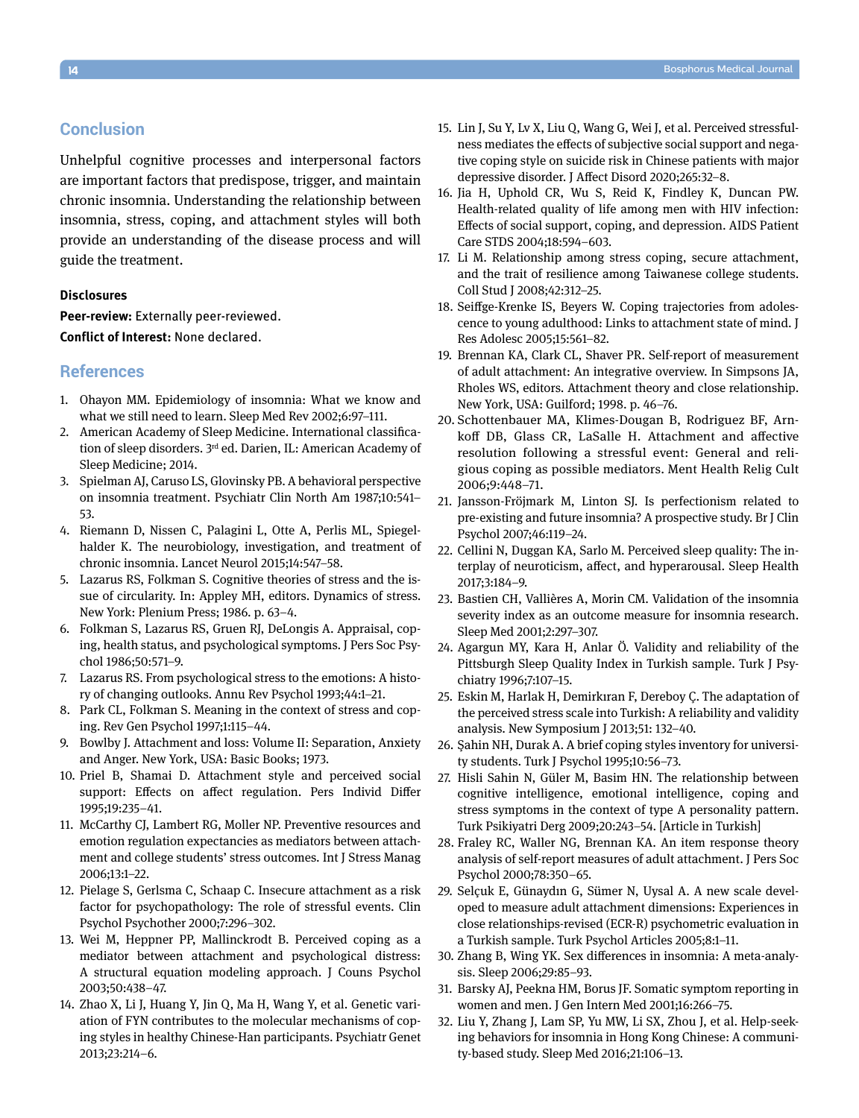# **Conclusion**

Unhelpful cognitive processes and interpersonal factors are important factors that predispose, trigger, and maintain chronic insomnia. Understanding the relationship between insomnia, stress, coping, and attachment styles will both provide an understanding of the disease process and will guide the treatment.

## **Disclosures**

**Peer-review:** Externally peer-reviewed.

**Conflict of Interest:** None declared.

# **References**

- 1. Ohayon MM. Epidemiology of insomnia: What we know and what we still need to learn. Sleep Med Rev 2002;6:97–111.
- 2. American Academy of Sleep Medicine. International classification of sleep disorders. 3<sup>rd</sup> ed. Darien, IL: American Academy of Sleep Medicine; 2014.
- 3. Spielman AJ, Caruso LS, Glovinsky PB. A behavioral perspective on insomnia treatment. Psychiatr Clin North Am 1987;10:541– 53.
- 4. Riemann D, Nissen C, Palagini L, Otte A, Perlis ML, Spiegelhalder K. The neurobiology, investigation, and treatment of chronic insomnia. Lancet Neurol 2015;14:547–58.
- 5. Lazarus RS, Folkman S. Cognitive theories of stress and the issue of circularity. In: Appley MH, editors. Dynamics of stress. New York: Plenium Press; 1986. p. 63–4.
- 6. Folkman S, Lazarus RS, Gruen RJ, DeLongis A. Appraisal, coping, health status, and psychological symptoms. J Pers Soc Psychol 1986;50:571–9.
- 7. Lazarus RS. From psychological stress to the emotions: A history of changing outlooks. Annu Rev Psychol 1993;44:1–21.
- 8. Park CL, Folkman S. Meaning in the context of stress and coping. Rev Gen Psychol 1997;1:115–44.
- 9. Bowlby J. Attachment and loss: Volume II: Separation, Anxiety and Anger. New York, USA: Basic Books; 1973.
- 10. Priel B, Shamai D. Attachment style and perceived social support: Effects on affect regulation. Pers Individ Differ 1995;19:235–41.
- 11. McCarthy CJ, Lambert RG, Moller NP. Preventive resources and emotion regulation expectancies as mediators between attachment and college students' stress outcomes. Int J Stress Manag 2006;13:1–22.
- 12. Pielage S, Gerlsma C, Schaap C. Insecure attachment as a risk factor for psychopathology: The role of stressful events. Clin Psychol Psychother 2000;7:296–302.
- 13. Wei M, Heppner PP, Mallinckrodt B. Perceived coping as a mediator between attachment and psychological distress: A structural equation modeling approach. J Couns Psychol 2003;50:438–47.
- 14. Zhao X, Li J, Huang Y, Jin Q, Ma H, Wang Y, et al. Genetic variation of FYN contributes to the molecular mechanisms of coping styles in healthy Chinese-Han participants. Psychiatr Genet 2013;23:214–6.
- 15. Lin J, Su Y, Lv X, Liu Q, Wang G, Wei J, et al. Perceived stressfulness mediates the effects of subjective social support and negative coping style on suicide risk in Chinese patients with major depressive disorder. J Affect Disord 2020;265:32–8.
- 16. Jia H, Uphold CR, Wu S, Reid K, Findley K, Duncan PW. Health-related quality of life among men with HIV infection: Effects of social support, coping, and depression. AIDS Patient Care STDS 2004;18:594–603.
- 17. Li M. Relationship among stress coping, secure attachment, and the trait of resilience among Taiwanese college students. Coll Stud J 2008;42:312–25.
- 18. Seiffge-Krenke IS, Beyers W. Coping trajectories from adolescence to young adulthood: Links to attachment state of mind. J Res Adolesc 2005;15:561–82.
- 19. Brennan KA, Clark CL, Shaver PR. Self-report of measurement of adult attachment: An integrative overview. In Simpsons JA, Rholes WS, editors. Attachment theory and close relationship. New York, USA: Guilford; 1998. p. 46–76.
- 20. Schottenbauer MA, Klimes-Dougan B, Rodriguez BF, Arnkoff DB, Glass CR, LaSalle H. Attachment and affective resolution following a stressful event: General and religious coping as possible mediators. Ment Health Relig Cult 2006;9:448–71.
- 21. Jansson-Fröjmark M, Linton SJ. Is perfectionism related to pre-existing and future insomnia? A prospective study. Br J Clin Psychol 2007;46:119–24.
- 22. Cellini N, Duggan KA, Sarlo M. Perceived sleep quality: The interplay of neuroticism, affect, and hyperarousal. Sleep Health 2017;3:184–9.
- 23. Bastien CH, Vallières A, Morin CM. Validation of the insomnia severity index as an outcome measure for insomnia research. Sleep Med 2001;2:297–307.
- 24. Agargun MY, Kara H, Anlar Ö. Validity and reliability of the Pittsburgh Sleep Quality Index in Turkish sample. Turk J Psychiatry 1996;7:107–15.
- 25. Eskin M, Harlak H, Demirkıran F, Dereboy Ç. The adaptation of the perceived stress scale into Turkish: A reliability and validity analysis. New Symposium J 2013;51: 132–40.
- 26. Şahin NH, Durak A. A brief coping styles inventory for university students. Turk J Psychol 1995;10:56–73.
- 27. Hisli Sahin N, Güler M, Basim HN. The relationship between cognitive intelligence, emotional intelligence, coping and stress symptoms in the context of type A personality pattern. Turk Psikiyatri Derg 2009;20:243–54. [Article in Turkish]
- 28. Fraley RC, Waller NG, Brennan KA. An item response theory analysis of self-report measures of adult attachment. J Pers Soc Psychol 2000;78:350–65.
- 29. Selçuk E, Günaydın G, Sümer N, Uysal A. A new scale developed to measure adult attachment dimensions: Experiences in close relationships-revised (ECR-R) psychometric evaluation in a Turkish sample. Turk Psychol Articles 2005;8:1–11.
- 30. Zhang B, Wing YK. Sex differences in insomnia: A meta-analysis. Sleep 2006;29:85–93.
- 31. Barsky AJ, Peekna HM, Borus JF. Somatic symptom reporting in women and men. J Gen Intern Med 2001;16:266–75.
- 32. Liu Y, Zhang J, Lam SP, Yu MW, Li SX, Zhou J, et al. Help-seeking behaviors for insomnia in Hong Kong Chinese: A community-based study. Sleep Med 2016;21:106–13.